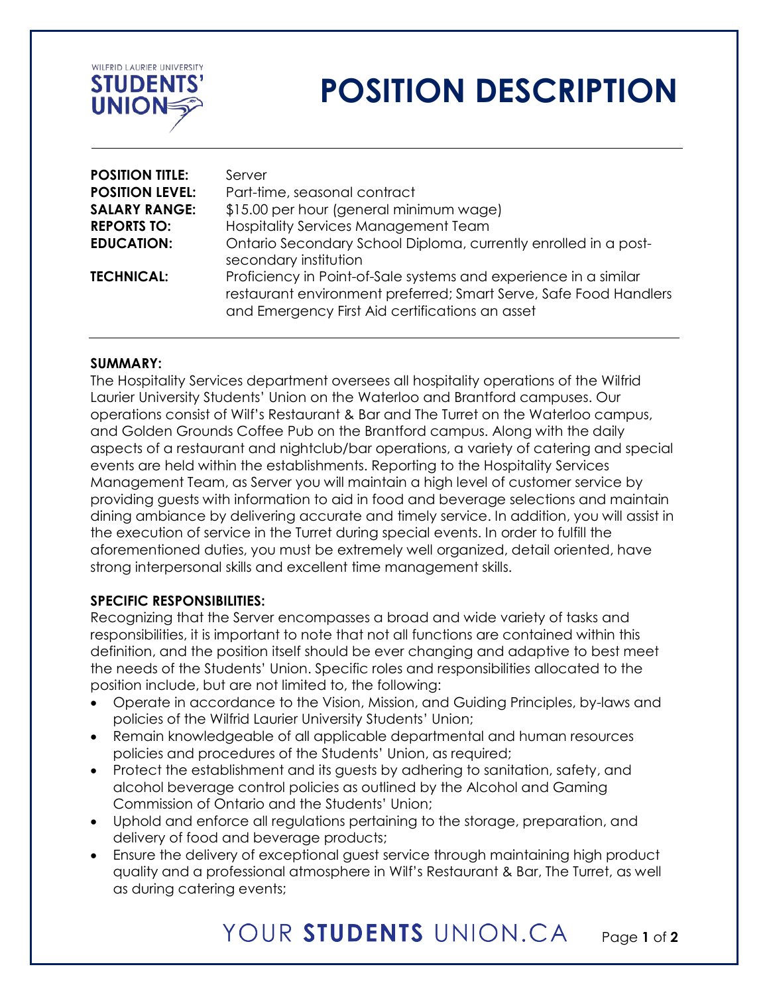

# **POSITION DESCRIPTION**

| <b>POSITION TITLE:</b> | Server                                                                                                                                                                                   |
|------------------------|------------------------------------------------------------------------------------------------------------------------------------------------------------------------------------------|
| <b>POSITION LEVEL:</b> | Part-time, seasonal contract                                                                                                                                                             |
| <b>SALARY RANGE:</b>   | \$15.00 per hour (general minimum wage)                                                                                                                                                  |
| <b>REPORTS TO:</b>     | <b>Hospitality Services Management Team</b>                                                                                                                                              |
| <b>EDUCATION:</b>      | Ontario Secondary School Diploma, currently enrolled in a post-<br>secondary institution                                                                                                 |
| <b>TECHNICAL:</b>      | Proficiency in Point-of-Sale systems and experience in a similar<br>restaurant environment preferred; Smart Serve, Safe Food Handlers<br>and Emergency First Aid certifications an asset |

### **SUMMARY:**

The Hospitality Services department oversees all hospitality operations of the Wilfrid Laurier University Students' Union on the Waterloo and Brantford campuses. Our operations consist of Wilf's Restaurant & Bar and The Turret on the Waterloo campus, and Golden Grounds Coffee Pub on the Brantford campus. Along with the daily aspects of a restaurant and nightclub/bar operations, a variety of catering and special events are held within the establishments. Reporting to the Hospitality Services Management Team, as Server you will maintain a high level of customer service by providing guests with information to aid in food and beverage selections and maintain dining ambiance by delivering accurate and timely service. In addition, you will assist in the execution of service in the Turret during special events. In order to fulfill the aforementioned duties, you must be extremely well organized, detail oriented, have strong interpersonal skills and excellent time management skills.

### **SPECIFIC RESPONSIBILITIES:**

Recognizing that the Server encompasses a broad and wide variety of tasks and responsibilities, it is important to note that not all functions are contained within this definition, and the position itself should be ever changing and adaptive to best meet the needs of the Students' Union. Specific roles and responsibilities allocated to the position include, but are not limited to, the following:

- Operate in accordance to the Vision, Mission, and Guiding Principles, by-laws and policies of the Wilfrid Laurier University Students' Union;
- Remain knowledgeable of all applicable departmental and human resources policies and procedures of the Students' Union, as required;
- Protect the establishment and its guests by adhering to sanitation, safety, and alcohol beverage control policies as outlined by the Alcohol and Gaming Commission of Ontario and the Students' Union;
- Uphold and enforce all regulations pertaining to the storage, preparation, and delivery of food and beverage products;
- Ensure the delivery of exceptional guest service through maintaining high product quality and a professional atmosphere in Wilf's Restaurant & Bar, The Turret, as well as during catering events;

#### YOUR STUDENTS UNION.CA Page **1** of **2**